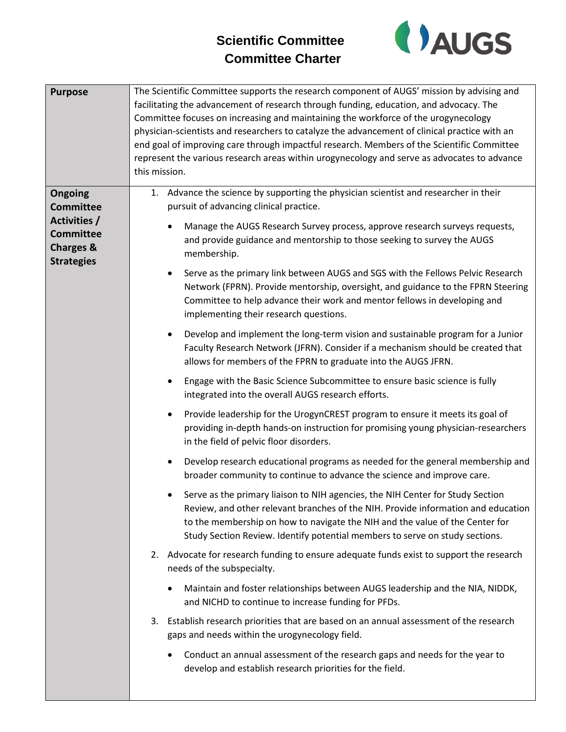## **Scientific Committee Committee Charter**



| <b>Purpose</b>                                                                                               | The Scientific Committee supports the research component of AUGS' mission by advising and<br>facilitating the advancement of research through funding, education, and advocacy. The<br>Committee focuses on increasing and maintaining the workforce of the urogynecology<br>physician-scientists and researchers to catalyze the advancement of clinical practice with an<br>end goal of improving care through impactful research. Members of the Scientific Committee<br>represent the various research areas within urogynecology and serve as advocates to advance<br>this mission.                                                                                                                                                                                                                                                                                                                                                                                                                                                                                                                                                                                                                                                                                                                                                                |
|--------------------------------------------------------------------------------------------------------------|---------------------------------------------------------------------------------------------------------------------------------------------------------------------------------------------------------------------------------------------------------------------------------------------------------------------------------------------------------------------------------------------------------------------------------------------------------------------------------------------------------------------------------------------------------------------------------------------------------------------------------------------------------------------------------------------------------------------------------------------------------------------------------------------------------------------------------------------------------------------------------------------------------------------------------------------------------------------------------------------------------------------------------------------------------------------------------------------------------------------------------------------------------------------------------------------------------------------------------------------------------------------------------------------------------------------------------------------------------|
| Ongoing<br><b>Committee</b><br>Activities /<br><b>Committee</b><br><b>Charges &amp;</b><br><b>Strategies</b> | 1. Advance the science by supporting the physician scientist and researcher in their<br>pursuit of advancing clinical practice.<br>Manage the AUGS Research Survey process, approve research surveys requests,<br>and provide guidance and mentorship to those seeking to survey the AUGS<br>membership.<br>Serve as the primary link between AUGS and SGS with the Fellows Pelvic Research<br>$\bullet$<br>Network (FPRN). Provide mentorship, oversight, and guidance to the FPRN Steering<br>Committee to help advance their work and mentor fellows in developing and<br>implementing their research questions.<br>Develop and implement the long-term vision and sustainable program for a Junior<br>$\bullet$<br>Faculty Research Network (JFRN). Consider if a mechanism should be created that<br>allows for members of the FPRN to graduate into the AUGS JFRN.<br>Engage with the Basic Science Subcommittee to ensure basic science is fully<br>$\bullet$<br>integrated into the overall AUGS research efforts.<br>Provide leadership for the UrogynCREST program to ensure it meets its goal of<br>$\bullet$<br>providing in-depth hands-on instruction for promising young physician-researchers<br>in the field of pelvic floor disorders.<br>Develop research educational programs as needed for the general membership and<br>$\bullet$ |
|                                                                                                              | broader community to continue to advance the science and improve care.<br>Serve as the primary liaison to NIH agencies, the NIH Center for Study Section<br>Review, and other relevant branches of the NIH. Provide information and education<br>to the membership on how to navigate the NIH and the value of the Center for<br>Study Section Review. Identify potential members to serve on study sections.<br>2. Advocate for research funding to ensure adequate funds exist to support the research<br>needs of the subspecialty.<br>Maintain and foster relationships between AUGS leadership and the NIA, NIDDK,<br>and NICHD to continue to increase funding for PFDs.<br>3. Establish research priorities that are based on an annual assessment of the research<br>gaps and needs within the urogynecology field.<br>Conduct an annual assessment of the research gaps and needs for the year to<br>develop and establish research priorities for the field.                                                                                                                                                                                                                                                                                                                                                                                  |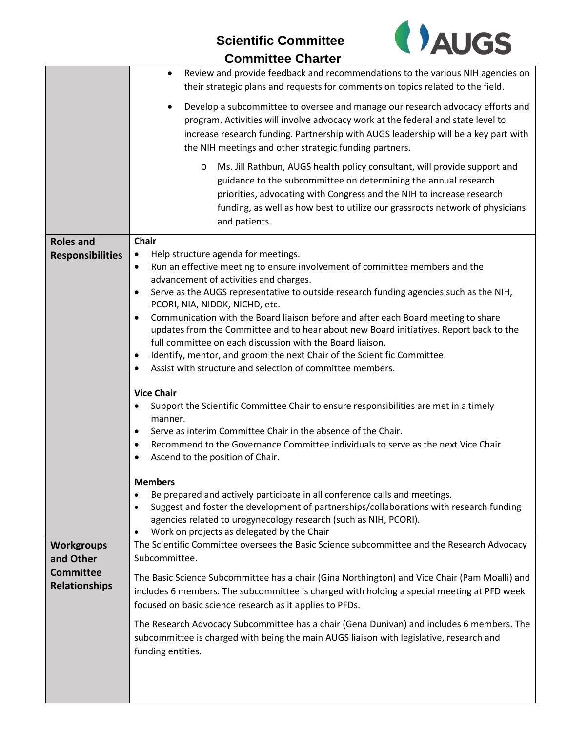## **Scientific Committee**



|--|

|                                                                            | Review and provide feedback and recommendations to the various NIH agencies on<br>$\bullet$<br>their strategic plans and requests for comments on topics related to the field.                                                                                                                                                    |
|----------------------------------------------------------------------------|-----------------------------------------------------------------------------------------------------------------------------------------------------------------------------------------------------------------------------------------------------------------------------------------------------------------------------------|
|                                                                            | Develop a subcommittee to oversee and manage our research advocacy efforts and<br>program. Activities will involve advocacy work at the federal and state level to<br>increase research funding. Partnership with AUGS leadership will be a key part with<br>the NIH meetings and other strategic funding partners.               |
|                                                                            | Ms. Jill Rathbun, AUGS health policy consultant, will provide support and<br>$\circ$<br>guidance to the subcommittee on determining the annual research<br>priorities, advocating with Congress and the NIH to increase research<br>funding, as well as how best to utilize our grassroots network of physicians<br>and patients. |
| <b>Roles and</b>                                                           | Chair                                                                                                                                                                                                                                                                                                                             |
| <b>Responsibilities</b>                                                    | Help structure agenda for meetings.<br>$\bullet$<br>Run an effective meeting to ensure involvement of committee members and the<br>$\bullet$                                                                                                                                                                                      |
|                                                                            | advancement of activities and charges.                                                                                                                                                                                                                                                                                            |
|                                                                            | Serve as the AUGS representative to outside research funding agencies such as the NIH,<br>$\bullet$<br>PCORI, NIA, NIDDK, NICHD, etc.                                                                                                                                                                                             |
|                                                                            | Communication with the Board liaison before and after each Board meeting to share<br>$\bullet$                                                                                                                                                                                                                                    |
|                                                                            | updates from the Committee and to hear about new Board initiatives. Report back to the                                                                                                                                                                                                                                            |
|                                                                            | full committee on each discussion with the Board liaison.<br>Identify, mentor, and groom the next Chair of the Scientific Committee<br>$\bullet$                                                                                                                                                                                  |
|                                                                            | Assist with structure and selection of committee members.<br>$\bullet$                                                                                                                                                                                                                                                            |
|                                                                            | <b>Vice Chair</b>                                                                                                                                                                                                                                                                                                                 |
|                                                                            | Support the Scientific Committee Chair to ensure responsibilities are met in a timely<br>$\bullet$                                                                                                                                                                                                                                |
|                                                                            | manner.                                                                                                                                                                                                                                                                                                                           |
|                                                                            | Serve as interim Committee Chair in the absence of the Chair.<br>Recommend to the Governance Committee individuals to serve as the next Vice Chair.<br>$\bullet$                                                                                                                                                                  |
|                                                                            | Ascend to the position of Chair.<br>$\bullet$                                                                                                                                                                                                                                                                                     |
|                                                                            | <b>Members</b>                                                                                                                                                                                                                                                                                                                    |
|                                                                            | Be prepared and actively participate in all conference calls and meetings.<br>$\bullet$                                                                                                                                                                                                                                           |
|                                                                            | Suggest and foster the development of partnerships/collaborations with research funding<br>$\bullet$<br>agencies related to urogynecology research (such as NIH, PCORI).<br>Work on projects as delegated by the Chair                                                                                                            |
| <b>Workgroups</b><br>and Other<br><b>Committee</b><br><b>Relationships</b> | The Scientific Committee oversees the Basic Science subcommittee and the Research Advocacy<br>Subcommittee.                                                                                                                                                                                                                       |
|                                                                            | The Basic Science Subcommittee has a chair (Gina Northington) and Vice Chair (Pam Moalli) and<br>includes 6 members. The subcommittee is charged with holding a special meeting at PFD week<br>focused on basic science research as it applies to PFDs.                                                                           |
|                                                                            | The Research Advocacy Subcommittee has a chair (Gena Dunivan) and includes 6 members. The<br>subcommittee is charged with being the main AUGS liaison with legislative, research and<br>funding entities.                                                                                                                         |
|                                                                            |                                                                                                                                                                                                                                                                                                                                   |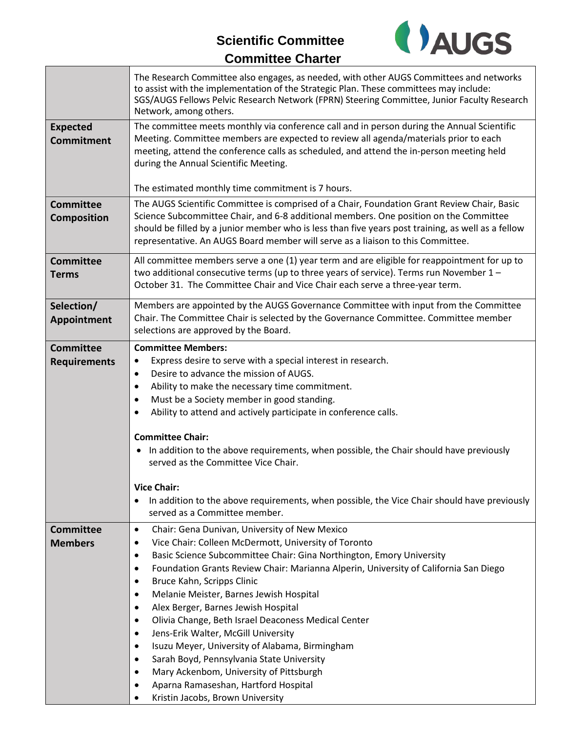## **Scientific Committee**



## **Committee Charter**

|                                         | The Research Committee also engages, as needed, with other AUGS Committees and networks<br>to assist with the implementation of the Strategic Plan. These committees may include:<br>SGS/AUGS Fellows Pelvic Research Network (FPRN) Steering Committee, Junior Faculty Research<br>Network, among others.                                                                                                                                                                                                                                                                                                                                                                                                                                                                                                                                                 |
|-----------------------------------------|------------------------------------------------------------------------------------------------------------------------------------------------------------------------------------------------------------------------------------------------------------------------------------------------------------------------------------------------------------------------------------------------------------------------------------------------------------------------------------------------------------------------------------------------------------------------------------------------------------------------------------------------------------------------------------------------------------------------------------------------------------------------------------------------------------------------------------------------------------|
| <b>Expected</b><br><b>Commitment</b>    | The committee meets monthly via conference call and in person during the Annual Scientific<br>Meeting. Committee members are expected to review all agenda/materials prior to each<br>meeting, attend the conference calls as scheduled, and attend the in-person meeting held<br>during the Annual Scientific Meeting.                                                                                                                                                                                                                                                                                                                                                                                                                                                                                                                                    |
|                                         | The estimated monthly time commitment is 7 hours.                                                                                                                                                                                                                                                                                                                                                                                                                                                                                                                                                                                                                                                                                                                                                                                                          |
| <b>Committee</b><br>Composition         | The AUGS Scientific Committee is comprised of a Chair, Foundation Grant Review Chair, Basic<br>Science Subcommittee Chair, and 6-8 additional members. One position on the Committee<br>should be filled by a junior member who is less than five years post training, as well as a fellow<br>representative. An AUGS Board member will serve as a liaison to this Committee.                                                                                                                                                                                                                                                                                                                                                                                                                                                                              |
| <b>Committee</b><br><b>Terms</b>        | All committee members serve a one (1) year term and are eligible for reappointment for up to<br>two additional consecutive terms (up to three years of service). Terms run November $1 -$<br>October 31. The Committee Chair and Vice Chair each serve a three-year term.                                                                                                                                                                                                                                                                                                                                                                                                                                                                                                                                                                                  |
| Selection/<br>Appointment               | Members are appointed by the AUGS Governance Committee with input from the Committee<br>Chair. The Committee Chair is selected by the Governance Committee. Committee member<br>selections are approved by the Board.                                                                                                                                                                                                                                                                                                                                                                                                                                                                                                                                                                                                                                      |
| <b>Committee</b><br><b>Requirements</b> | <b>Committee Members:</b><br>Express desire to serve with a special interest in research.<br>$\bullet$<br>Desire to advance the mission of AUGS.<br>$\bullet$<br>Ability to make the necessary time commitment.<br>$\bullet$<br>Must be a Society member in good standing.<br>$\bullet$<br>Ability to attend and actively participate in conference calls.<br>$\bullet$<br><b>Committee Chair:</b><br>In addition to the above requirements, when possible, the Chair should have previously<br>$\bullet$<br>served as the Committee Vice Chair.<br><b>Vice Chair:</b><br>In addition to the above requirements, when possible, the Vice Chair should have previously<br>٠<br>served as a Committee member.                                                                                                                                                |
| <b>Committee</b><br><b>Members</b>      | Chair: Gena Dunivan, University of New Mexico<br>$\bullet$<br>Vice Chair: Colleen McDermott, University of Toronto<br>$\bullet$<br>Basic Science Subcommittee Chair: Gina Northington, Emory University<br>$\bullet$<br>Foundation Grants Review Chair: Marianna Alperin, University of California San Diego<br>$\bullet$<br>Bruce Kahn, Scripps Clinic<br>$\bullet$<br>Melanie Meister, Barnes Jewish Hospital<br>$\bullet$<br>Alex Berger, Barnes Jewish Hospital<br>$\bullet$<br>Olivia Change, Beth Israel Deaconess Medical Center<br>٠<br>Jens-Erik Walter, McGill University<br>$\bullet$<br>Isuzu Meyer, University of Alabama, Birmingham<br>$\bullet$<br>Sarah Boyd, Pennsylvania State University<br>$\bullet$<br>Mary Ackenbom, University of Pittsburgh<br>٠<br>Aparna Ramaseshan, Hartford Hospital<br>٠<br>Kristin Jacobs, Brown University |